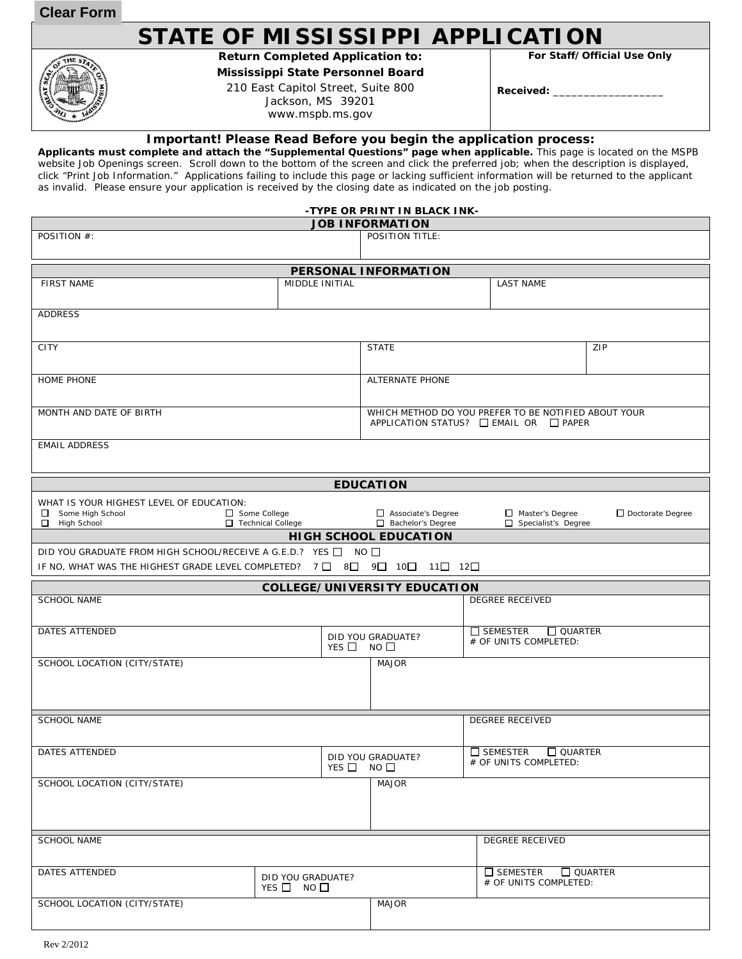**Clear Form**

HE<sub>S</sub>

## **STATE OF MISSISSIPPI APPLICATION**

**Return Completed Application to: Mississippi State Personnel Board** 

210 East Capitol Street, Suite 800 Jackson, MS 39201 www.mspb.ms.gov

**For Staff/Official Use Only** 

**Received:** \_\_\_\_\_\_\_\_\_\_\_\_\_\_\_\_\_\_

## **Important! Please Read Before you begin the application process:**

**Applicants must complete and attach the "Supplemental Questions" page when applicable.** This page is located on the MSPB website Job Openings screen. Scroll down to the bottom of the screen and click the preferred job; when the description is displayed, click "Print Job Information." Applications failing to include this page or lacking sufficient information will be returned to the applicant as invalid. Please ensure your application is received by the closing date as indicated on the job posting.

|                                                                          |                    | -TYPE OR PRINT IN BLACK INK-              |                                                         |                  |
|--------------------------------------------------------------------------|--------------------|-------------------------------------------|---------------------------------------------------------|------------------|
|                                                                          |                    | <b>JOB INFORMATION</b>                    |                                                         |                  |
| POSITION #:                                                              |                    | POSITION TITLE:                           |                                                         |                  |
|                                                                          |                    |                                           |                                                         |                  |
|                                                                          |                    | PERSONAL INFORMATION                      |                                                         |                  |
| <b>FIRST NAME</b>                                                        | MIDDLE INITIAL     |                                           | <b>LAST NAME</b>                                        |                  |
|                                                                          |                    |                                           |                                                         |                  |
|                                                                          |                    |                                           |                                                         |                  |
| <b>ADDRESS</b>                                                           |                    |                                           |                                                         |                  |
|                                                                          |                    |                                           |                                                         |                  |
| <b>CITY</b>                                                              |                    | <b>STATE</b>                              |                                                         | ZIP              |
|                                                                          |                    |                                           |                                                         |                  |
|                                                                          |                    |                                           |                                                         |                  |
| <b>HOME PHONE</b>                                                        |                    | <b>ALTERNATE PHONE</b>                    |                                                         |                  |
|                                                                          |                    |                                           |                                                         |                  |
| MONTH AND DATE OF BIRTH                                                  |                    |                                           | WHICH METHOD DO YOU PREFER TO BE NOTIFIED ABOUT YOUR    |                  |
|                                                                          |                    |                                           | APPLICATION STATUS? □ EMAIL OR □ PAPER                  |                  |
|                                                                          |                    |                                           |                                                         |                  |
| <b>EMAIL ADDRESS</b>                                                     |                    |                                           |                                                         |                  |
|                                                                          |                    |                                           |                                                         |                  |
|                                                                          |                    |                                           |                                                         |                  |
|                                                                          |                    | <b>EDUCATION</b>                          |                                                         |                  |
| WHAT IS YOUR HIGHEST LEVEL OF EDUCATION:                                 |                    |                                           |                                                         |                  |
| Some College<br>Some High School                                         |                    | Associate's Degree                        | Master's Degree                                         | Doctorate Degree |
| Technical College<br>0<br>High School                                    |                    | Bachelor's Degree                         | $\Box$ Specialist's Degree                              |                  |
|                                                                          |                    | <b>HIGH SCHOOL EDUCATION</b>              |                                                         |                  |
| DID YOU GRADUATE FROM HIGH SCHOOL/RECEIVE A G.E.D.? YES □ NO □           |                    |                                           |                                                         |                  |
| IF NO, WHAT WAS THE HIGHEST GRADE LEVEL COMPLETED? 7 □ 8□ 9□ 10□ 11□ 12□ |                    |                                           |                                                         |                  |
|                                                                          |                    |                                           |                                                         |                  |
|                                                                          |                    | <b>COLLEGE/UNIVERSITY EDUCATION</b>       |                                                         |                  |
|                                                                          |                    |                                           |                                                         |                  |
| <b>SCHOOL NAME</b>                                                       |                    |                                           | <b>DEGREE RECEIVED</b>                                  |                  |
|                                                                          |                    |                                           |                                                         |                  |
| DATES ATTENDED                                                           |                    |                                           | $\Box$ SEMESTER                                         | $\Box$ QUARTER   |
|                                                                          |                    | DID YOU GRADUATE?<br>YES $\Box$ NO $\Box$ | # OF UNITS COMPLETED:                                   |                  |
|                                                                          |                    |                                           |                                                         |                  |
| SCHOOL LOCATION (CITY/STATE)                                             |                    | <b>MAJOR</b>                              |                                                         |                  |
|                                                                          |                    |                                           |                                                         |                  |
|                                                                          |                    |                                           |                                                         |                  |
|                                                                          |                    |                                           |                                                         |                  |
| <b>SCHOOL NAME</b>                                                       |                    |                                           | <b>DEGREE RECEIVED</b>                                  |                  |
|                                                                          |                    |                                           |                                                         |                  |
|                                                                          |                    |                                           |                                                         |                  |
| DATES ATTENDED                                                           |                    | DID YOU GRADUATE?                         | $\Box$ SEMESTER $\Box$ QUARTER<br># OF UNITS COMPLETED: |                  |
|                                                                          |                    | YES $\Box$ NO $\Box$                      |                                                         |                  |
| SCHOOL LOCATION (CITY/STATE)                                             |                    | <b>MAJOR</b>                              |                                                         |                  |
|                                                                          |                    |                                           |                                                         |                  |
|                                                                          |                    |                                           |                                                         |                  |
|                                                                          |                    |                                           |                                                         |                  |
| <b>SCHOOL NAME</b>                                                       |                    |                                           | <b>DEGREE RECEIVED</b>                                  |                  |
|                                                                          |                    |                                           |                                                         |                  |
|                                                                          |                    |                                           |                                                         |                  |
| DATES ATTENDED                                                           | DID YOU GRADUATE?  |                                           | $\square$ SEMESTER<br># OF UNITS COMPLETED:             | $\Box$ QUARTER   |
|                                                                          | $YES$ NO $\square$ |                                           |                                                         |                  |
| SCHOOL LOCATION (CITY/STATE)                                             |                    | <b>MAJOR</b>                              |                                                         |                  |
|                                                                          |                    |                                           |                                                         |                  |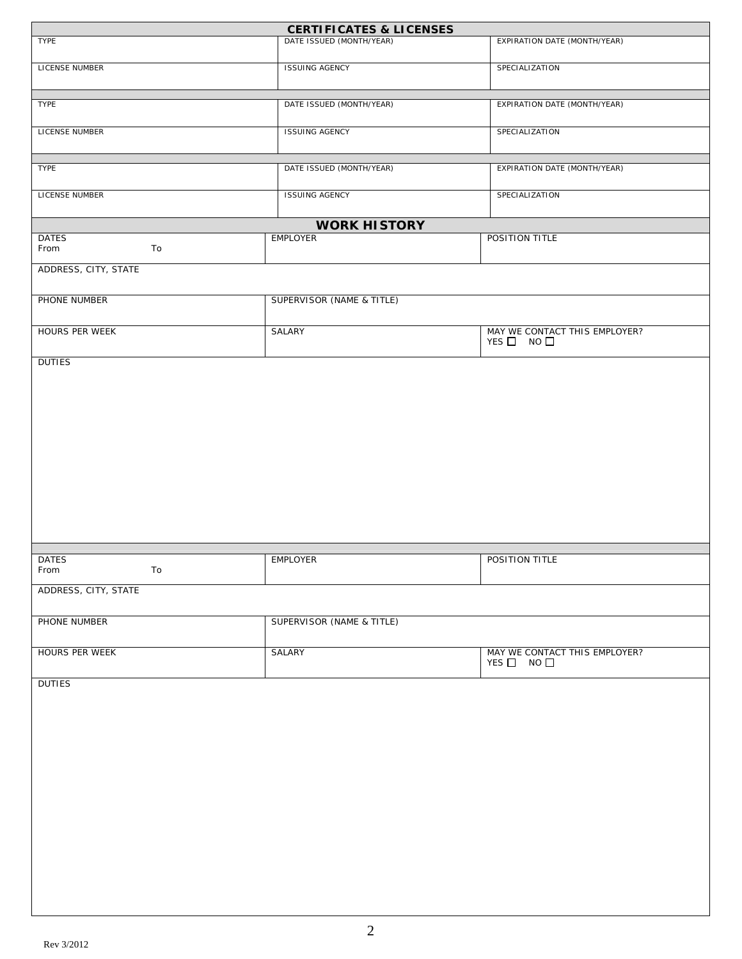|                            | <b>CERTIFICATES &amp; LICENSES</b> |                                                       |
|----------------------------|------------------------------------|-------------------------------------------------------|
| TYPE                       | DATE ISSUED (MONTH/YEAR)           | EXPIRATION DATE (MONTH/YEAR)                          |
| LICENSE NUMBER             | <b>ISSUING AGENCY</b>              | SPECIALIZATION                                        |
| <b>TYPE</b>                | DATE ISSUED (MONTH/YEAR)           | EXPIRATION DATE (MONTH/YEAR)                          |
| LICENSE NUMBER             | <b>ISSUING AGENCY</b>              | SPECIALIZATION                                        |
| TYPE                       | DATE ISSUED (MONTH/YEAR)           | EXPIRATION DATE (MONTH/YEAR)                          |
| LICENSE NUMBER             | <b>ISSUING AGENCY</b>              | SPECIALIZATION                                        |
|                            | <b>WORK HISTORY</b>                |                                                       |
| <b>DATES</b><br>From<br>To | EMPLOYER                           | POSITION TITLE                                        |
| ADDRESS, CITY, STATE       |                                    |                                                       |
| PHONE NUMBER               | SUPERVISOR (NAME & TITLE)          |                                                       |
| HOURS PER WEEK             | SALARY                             | MAY WE CONTACT THIS EMPLOYER?<br>$YES$ D NO $\square$ |
|                            |                                    |                                                       |
| <b>DATES</b><br>To<br>From | EMPLOYER                           | POSITION TITLE                                        |
| ADDRESS, CITY, STATE       |                                    |                                                       |
| PHONE NUMBER               | SUPERVISOR (NAME & TITLE)          |                                                       |
| HOURS PER WEEK             | SALARY                             | MAY WE CONTACT THIS EMPLOYER?<br>$YES$ NO $\square$   |
| <b>DUTIES</b>              |                                    |                                                       |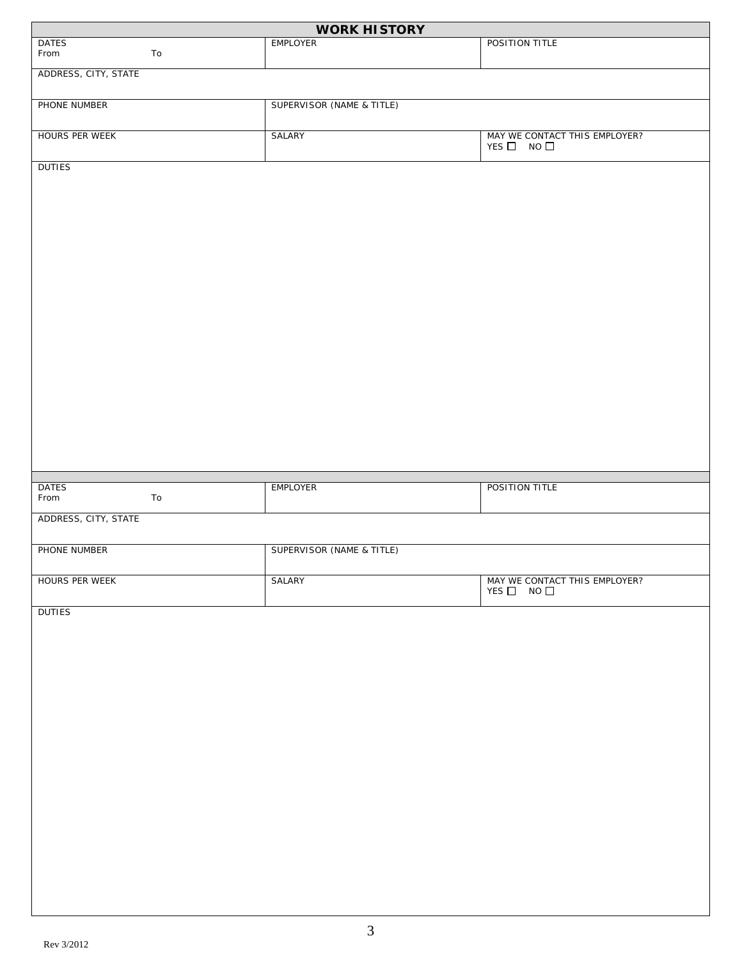|                      |    | <b>WORK HISTORY</b>       |                                                       |
|----------------------|----|---------------------------|-------------------------------------------------------|
| <b>DATES</b><br>From | To | <b>EMPLOYER</b>           | POSITION TITLE                                        |
| ADDRESS, CITY, STATE |    |                           |                                                       |
| PHONE NUMBER         |    | SUPERVISOR (NAME & TITLE) |                                                       |
| HOURS PER WEEK       |    | SALARY                    | MAY WE CONTACT THIS EMPLOYER?<br>YES $\Box$ NO $\Box$ |
| <b>DUTIES</b>        |    |                           |                                                       |
|                      |    |                           |                                                       |
|                      |    |                           |                                                       |
|                      |    |                           |                                                       |
|                      |    |                           |                                                       |
|                      |    |                           |                                                       |
|                      |    |                           |                                                       |
|                      |    |                           |                                                       |
|                      |    |                           |                                                       |
|                      |    |                           |                                                       |
|                      |    |                           |                                                       |
|                      |    |                           |                                                       |
| <b>DATES</b><br>From | To | <b>EMPLOYER</b>           | POSITION TITLE                                        |
| ADDRESS, CITY, STATE |    |                           |                                                       |
| PHONE NUMBER         |    | SUPERVISOR (NAME & TITLE) |                                                       |
| HOURS PER WEEK       |    | SALARY                    | MAY WE CONTACT THIS EMPLOYER?<br>$YES$ NO $\Box$      |
| <b>DUTIES</b>        |    |                           |                                                       |
|                      |    |                           |                                                       |
|                      |    |                           |                                                       |
|                      |    |                           |                                                       |
|                      |    |                           |                                                       |
|                      |    |                           |                                                       |
|                      |    |                           |                                                       |
|                      |    |                           |                                                       |
|                      |    |                           |                                                       |
|                      |    |                           |                                                       |
|                      |    |                           |                                                       |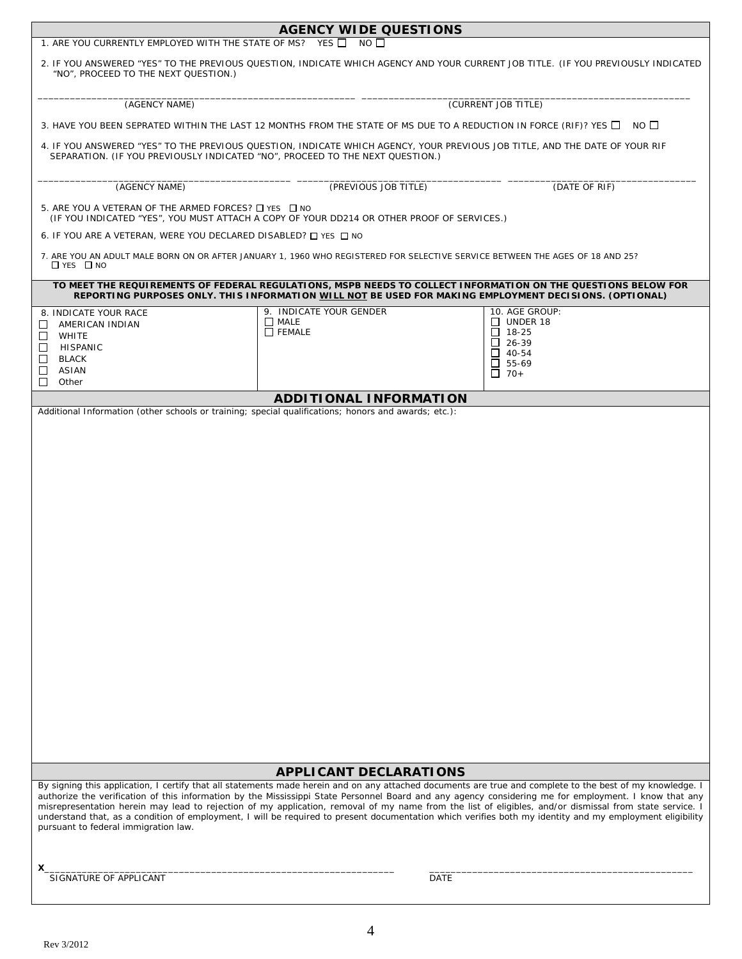| 1. ARE YOU CURRENTLY EMPLOYED WITH THE STATE OF MS? YES IN NO                                                                                                                                                                                                                                                                     | <b>AGENCY WIDE QUESTIONS</b>                                                                                                                                                                                                                                                                                                                                                                                                                                                 |                                                                                                                 |  |  |
|-----------------------------------------------------------------------------------------------------------------------------------------------------------------------------------------------------------------------------------------------------------------------------------------------------------------------------------|------------------------------------------------------------------------------------------------------------------------------------------------------------------------------------------------------------------------------------------------------------------------------------------------------------------------------------------------------------------------------------------------------------------------------------------------------------------------------|-----------------------------------------------------------------------------------------------------------------|--|--|
| "NO", PROCEED TO THE NEXT QUESTION.)                                                                                                                                                                                                                                                                                              | 2. IF YOU ANSWERED "YES" TO THE PREVIOUS QUESTION, INDICATE WHICH AGENCY AND YOUR CURRENT JOB TITLE. (IF YOU PREVIOUSLY INDICATED                                                                                                                                                                                                                                                                                                                                            |                                                                                                                 |  |  |
| (AGENCY NAME)                                                                                                                                                                                                                                                                                                                     |                                                                                                                                                                                                                                                                                                                                                                                                                                                                              | (CURRENT JOB TITLE)                                                                                             |  |  |
|                                                                                                                                                                                                                                                                                                                                   |                                                                                                                                                                                                                                                                                                                                                                                                                                                                              | $NO$ $\Box$                                                                                                     |  |  |
| 3. HAVE YOU BEEN SEPRATED WITHIN THE LAST 12 MONTHS FROM THE STATE OF MS DUE TO A REDUCTION IN FORCE (RIF)? YES O<br>4. IF YOU ANSWERED "YES" TO THE PREVIOUS QUESTION, INDICATE WHICH AGENCY, YOUR PREVIOUS JOB TITLE, AND THE DATE OF YOUR RIF<br>SEPARATION. (IF YOU PREVIOUSLY INDICATED "NO", PROCEED TO THE NEXT QUESTION.) |                                                                                                                                                                                                                                                                                                                                                                                                                                                                              |                                                                                                                 |  |  |
| (AGENCY NAME)                                                                                                                                                                                                                                                                                                                     | (PREVIOUS JOB TITLE)                                                                                                                                                                                                                                                                                                                                                                                                                                                         | (DATE OF RIF)                                                                                                   |  |  |
| 5. ARE YOU A VETERAN OF THE ARMED FORCES? □ YES □ NO<br>(IF YOU INDICATED "YES", YOU MUST ATTACH A COPY OF YOUR DD214 OR OTHER PROOF OF SERVICES.)                                                                                                                                                                                |                                                                                                                                                                                                                                                                                                                                                                                                                                                                              |                                                                                                                 |  |  |
| 6. IF YOU ARE A VETERAN, WERE YOU DECLARED DISABLED? □ YES □ NO                                                                                                                                                                                                                                                                   |                                                                                                                                                                                                                                                                                                                                                                                                                                                                              |                                                                                                                 |  |  |
| $\Box$ YES $\Box$ NO                                                                                                                                                                                                                                                                                                              | 7. ARE YOU AN ADULT MALE BORN ON OR AFTER JANUARY 1, 1960 WHO REGISTERED FOR SELECTIVE SERVICE BETWEEN THE AGES OF 18 AND 25?                                                                                                                                                                                                                                                                                                                                                |                                                                                                                 |  |  |
|                                                                                                                                                                                                                                                                                                                                   | TO MEET THE REQUIREMENTS OF FEDERAL REGULATIONS, MSPB NEEDS TO COLLECT INFORMATION ON THE QUESTIONS BELOW FOR<br>REPORTING PURPOSES ONLY. THIS INFORMATION WILL NOT BE USED FOR MAKING EMPLOYMENT DECISIONS. (OPTIONAL)                                                                                                                                                                                                                                                      |                                                                                                                 |  |  |
| 8. INDICATE YOUR RACE<br>AMERICAN INDIAN<br>ப<br>WHITE<br>⊔<br>□<br>HISPANIC<br>□<br><b>BLACK</b><br>ASIAN<br>□<br>п<br>Other                                                                                                                                                                                                     | 9. INDICATE YOUR GENDER<br>$\Box$ MALE<br>$\Box$ FEMALE                                                                                                                                                                                                                                                                                                                                                                                                                      | 10. AGE GROUP:<br>$\Box$ UNDER 18<br>$\Box$ 18-25<br>$\Box$ 26-39<br>$\Box$ 40-54<br>$\Box$ 55-69<br>$\Box$ 70+ |  |  |
| Additional Information (other schools or training; special qualifications; honors and awards; etc.):                                                                                                                                                                                                                              | <b>ADDITIONAL INFORMATION</b>                                                                                                                                                                                                                                                                                                                                                                                                                                                |                                                                                                                 |  |  |
|                                                                                                                                                                                                                                                                                                                                   |                                                                                                                                                                                                                                                                                                                                                                                                                                                                              |                                                                                                                 |  |  |
|                                                                                                                                                                                                                                                                                                                                   | <b>APPLICANT DECLARATIONS</b><br>By signing this application, I certify that all statements made herein and on any attached documents are true and complete to the best of my knowledge. I                                                                                                                                                                                                                                                                                   |                                                                                                                 |  |  |
| pursuant to federal immigration law.                                                                                                                                                                                                                                                                                              | authorize the verification of this information by the Mississippi State Personnel Board and any agency considering me for employment. I know that any<br>misrepresentation herein may lead to rejection of my application, removal of my name from the list of eligibles, and/or dismissal from state service. I<br>understand that, as a condition of employment, I will be required to present documentation which verifies both my identity and my employment eligibility |                                                                                                                 |  |  |
| SIGNATURE OF APPLICANT                                                                                                                                                                                                                                                                                                            | <b>DATE</b>                                                                                                                                                                                                                                                                                                                                                                                                                                                                  |                                                                                                                 |  |  |